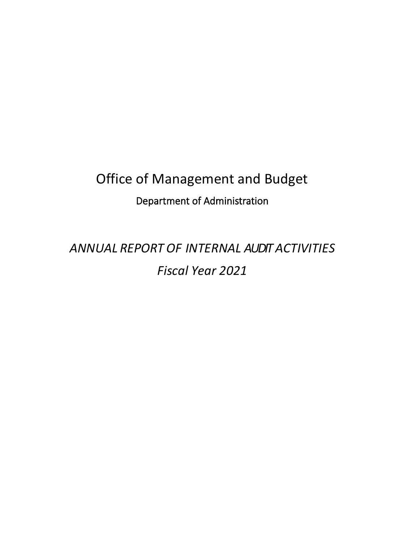# Office of Management and Budget Department of Administration

*ANNUAL REPORT OF INTERNAL AUDIT ACTIVITIES Fiscal Year 2021*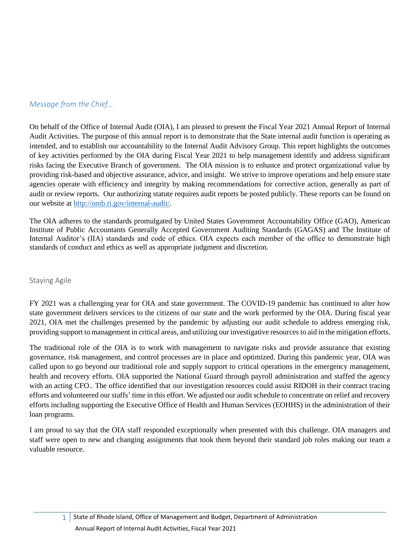## <span id="page-1-0"></span>*Message from the Chief…*

On behalf of the Office of Internal Audit (OIA), I am pleased to present the Fiscal Year 2021 Annual Report of Internal Audit Activities. The purpose of this annual report is to demonstrate that the State internal audit function is operating as intended, and to establish our accountability to the Internal Audit Advisory Group. This report highlights the outcomes of key activities performed by the OIA during Fiscal Year 2021 to help management identify and address significant risks facing the Executive Branch of government. The OIA mission is to enhance and protect organizational value by providing risk-based and objective assurance, advice, and insight. We strive to improve operations and help ensure state agencies operate with efficiency and integrity by making recommendations for corrective action, generally as part of audit or review reports. Our authorizing statute requires audit reports be posted publicly. These reports can be found on our website at [http://omb.ri.gov/internal-audit/.](http://omb.ri.gov/internal-audit/)

The OIA adheres to the standards promulgated by United States Government Accountability Office (GAO), American Institute of Public Accountants Generally Accepted Government Auditing Standards (GAGAS) and The Institute of Internal Auditor's (IIA) standards and code of ethics. OIA expects each member of the office to demonstrate high standards of conduct and ethics as well as appropriate judgment and discretion.

## <span id="page-1-1"></span>Staying Agile

FY 2021 was a challenging year for OIA and state government. The COVID-19 pandemic has continued to alter how state government delivers services to the citizens of our state and the work performed by the OIA. During fiscal year 2021, OIA met the challenges presented by the pandemic by adjusting our audit schedule to address emerging risk, providing support to management in critical areas, and utilizing our investigative resources to aid in the mitigation efforts.

The traditional role of the OIA is to work with management to navigate risks and provide assurance that existing governance, risk management, and control processes are in place and optimized. During this pandemic year, OIA was called upon to go beyond our traditional role and supply support to critical operations in the emergency management, health and recovery efforts. OIA supported the National Guard through payroll administration and staffed the agency with an acting CFO.. The office identified that our investigation resources could assist RIDOH in their contract tracing efforts and volunteered our staffs' time in this effort. We adjusted our audit schedule to concentrate on relief and recovery efforts including supporting the Executive Office of Health and Human Services (EOHHS) in the administration of their loan programs.

I am proud to say that the OIA staff responded exceptionally when presented with this challenge. OIA managers and staff were open to new and changing assignments that took them beyond their standard job roles making our team a valuable resource.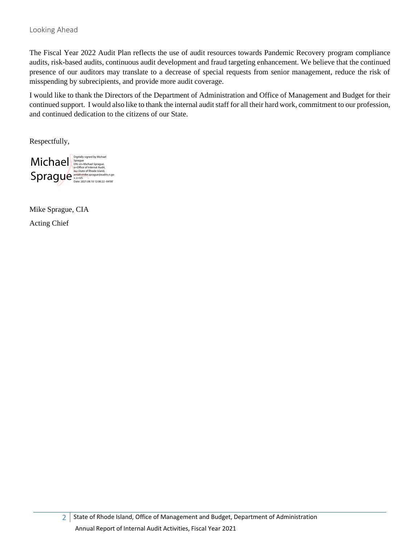<span id="page-2-0"></span>The Fiscal Year 2022 Audit Plan reflects the use of audit resources towards Pandemic Recovery program compliance audits, risk-based audits, continuous audit development and fraud targeting enhancement. We believe that the continued presence of our auditors may translate to a decrease of special requests from senior management, reduce the risk of misspending by subrecipients, and provide more audit coverage.

I would like to thank the Directors of the Department of Administration and Office of Management and Budget for their continued support. I would also like to thank the internal audit staff for all their hard work, commitment to our profession, and continued dedication to the citizens of our State.

Respectfully,



Mike Sprague, CIA Acting Chief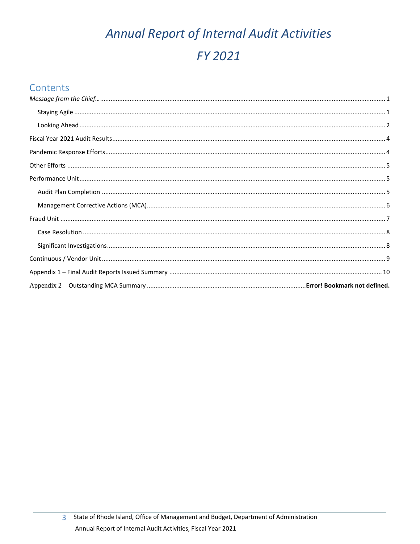# Annual Report of Internal Audit Activities FY 2021

# Contents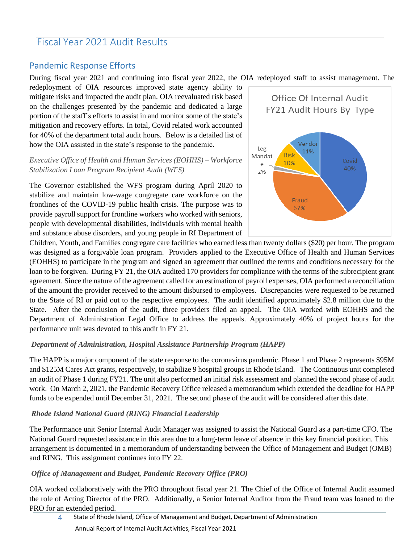## <span id="page-4-0"></span>Fiscal Year 2021 Audit Results

## <span id="page-4-1"></span>Pandemic Response Efforts

During fiscal year 2021 and continuing into fiscal year 2022, the OIA redeployed staff to assist management. The

redeployment of OIA resources improved state agency ability to mitigate risks and impacted the audit plan. OIA reevaluated risk based on the challenges presented by the pandemic and dedicated a large portion of the staff's efforts to assist in and monitor some of the state's mitigation and recovery efforts. In total, Covid related work accounted for 40% of the department total audit hours. Below is a detailed list of how the OIA assisted in the state's response to the pandemic.

## *Executive Office of Health and Human Services (EOHHS) – Workforce Stabilization Loan Program Recipient Audit (WFS)*

The Governor established the WFS program during April 2020 to stabilize and maintain low-wage congregate care workforce on the frontlines of the COVID-19 public health crisis. The purpose was to provide payroll support for frontline workers who worked with seniors, people with developmental disabilities, individuals with mental health and substance abuse disorders, and young people in RI Department of



Children, Youth, and Families congregate care facilities who earned less than twenty dollars (\$20) per hour. The program was designed as a forgivable loan program. Providers applied to the Executive Office of Health and Human Services (EOHHS) to participate in the program and signed an agreement that outlined the terms and conditions necessary for the loan to be forgiven. During FY 21, the OIA audited 170 providers for compliance with the terms of the subrecipient grant agreement. Since the nature of the agreement called for an estimation of payroll expenses, OIA performed a reconciliation of the amount the provider received to the amount disbursed to employees. Discrepancies were requested to be returned to the State of RI or paid out to the respective employees. The audit identified approximately \$2.8 million due to the State. After the conclusion of the audit, three providers filed an appeal. The OIA worked with EOHHS and the Department of Administration Legal Office to address the appeals. Approximately 40% of project hours for the performance unit was devoted to this audit in FY 21.

## *Department of Administration, Hospital Assistance Partnership Program (HAPP)*

The HAPP is a major component of the state response to the coronavirus pandemic. Phase 1 and Phase 2 represents \$95M and \$125M Cares Act grants, respectively, to stabilize 9 hospital groups in Rhode Island. The Continuous unit completed an audit of Phase 1 during FY21. The unit also performed an initial risk assessment and planned the second phase of audit work. On March 2, 2021, the Pandemic Recovery Office released a memorandum which extended the deadline for HAPP funds to be expended until December 31, 2021. The second phase of the audit will be considered after this date.

## *Rhode Island National Guard (RING) Financial Leadership*

The Performance unit Senior Internal Audit Manager was assigned to assist the National Guard as a part-time CFO. The National Guard requested assistance in this area due to a long-term leave of absence in this key financial position. This arrangement is documented in a memorandum of understanding between the Office of Management and Budget (OMB) and RING. This assignment continues into FY 22.

## *Office of Management and Budget, Pandemic Recovery Office (PRO)*

OIA worked collaboratively with the PRO throughout fiscal year 21. The Chief of the Office of Internal Audit assumed the role of Acting Director of the PRO. Additionally, a Senior Internal Auditor from the Fraud team was loaned to the PRO for an extended period.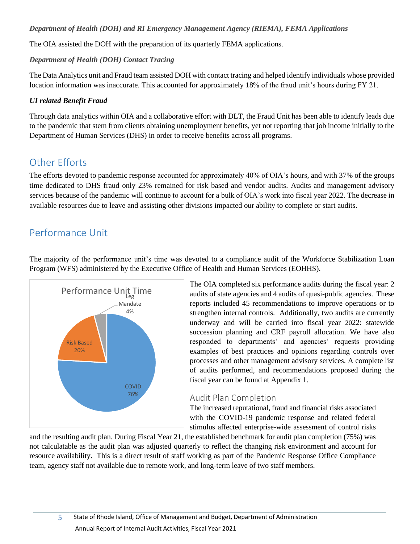## *Department of Health (DOH) and RI Emergency Management Agency (RIEMA), FEMA Applications*

The OIA assisted the DOH with the preparation of its quarterly FEMA applications.

## *Department of Health (DOH) Contact Tracing*

The Data Analytics unit and Fraud team assisted DOH with contact tracing and helped identify individuals whose provided location information was inaccurate. This accounted for approximately 18% of the fraud unit's hours during FY 21.

## *UI related Benefit Fraud*

Through data analytics within OIA and a collaborative effort with DLT, the Fraud Unit has been able to identify leads due to the pandemic that stem from clients obtaining unemployment benefits, yet not reporting that job income initially to the Department of Human Services (DHS) in order to receive benefits across all programs.

# <span id="page-5-0"></span>Other Efforts

The efforts devoted to pandemic response accounted for approximately 40% of OIA's hours, and with 37% of the groups time dedicated to DHS fraud only 23% remained for risk based and vendor audits. Audits and management advisory services because of the pandemic will continue to account for a bulk of OIA's work into fiscal year 2022. The decrease in available resources due to leave and assisting other divisions impacted our ability to complete or start audits.

# <span id="page-5-1"></span>Performance Unit

The majority of the performance unit's time was devoted to a compliance audit of the Workforce Stabilization Loan Program (WFS) administered by the Executive Office of Health and Human Services (EOHHS).



The OIA completed six performance audits during the fiscal year: 2 audits of state agencies and 4 audits of quasi-public agencies. These reports included 45 recommendations to improve operations or to strengthen internal controls. Additionally, two audits are currently underway and will be carried into fiscal year 2022: statewide succession planning and CRF payroll allocation. We have also responded to departments' and agencies' requests providing examples of best practices and opinions regarding controls over processes and other management advisory services. A complete list of audits performed, and recommendations proposed during the fiscal year can be found at Appendix 1.

## <span id="page-5-2"></span>Audit Plan Completion

The increased reputational, fraud and financial risks associated with the COVID-19 pandemic response and related federal stimulus affected enterprise-wide assessment of control risks

and the resulting audit plan. During Fiscal Year 21, the established benchmark for audit plan completion (75%) was not calculatable as the audit plan was adjusted quarterly to reflect the changing risk environment and account for resource availability. This is a direct result of staff working as part of the Pandemic Response Office Compliance team, agency staff not available due to remote work, and long-term leave of two staff members.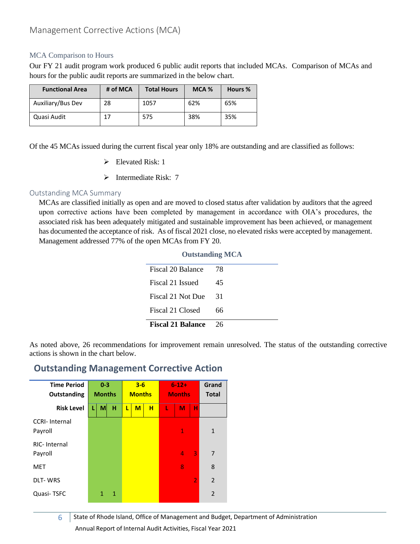## <span id="page-6-0"></span>MCA Comparison to Hours

Our FY 21 audit program work produced 6 public audit reports that included MCAs. Comparison of MCAs and hours for the public audit reports are summarized in the below chart.

| <b>Functional Area</b> | # of MCA | <b>Total Hours</b> | $MCA$ % | Hours % |
|------------------------|----------|--------------------|---------|---------|
| Auxiliary/Bus Dev      | 28       | 1057               | 62%     | 65%     |
| Quasi Audit            |          | 575                | 38%     | 35%     |

Of the 45 MCAs issued during the current fiscal year only 18% are outstanding and are classified as follows:

- $\triangleright$  Elevated Risk: 1
- ➢ Intermediate Risk: 7

## Outstanding MCA Summary

MCAs are classified initially as open and are moved to closed status after validation by auditors that the agreed upon corrective actions have been completed by management in accordance with OIA's procedures, the associated risk has been adequately mitigated and sustainable improvement has been achieved, or management has documented the acceptance of risk. As of fiscal 2021 close, no elevated risks were accepted by management. Management addressed 77% of the open MCAs from FY 20.

| <b>Outstanding MCA</b>   |    |  |  |  |  |
|--------------------------|----|--|--|--|--|
| Fiscal 20 Balance        | 78 |  |  |  |  |
| Fiscal 21 Issued         | 45 |  |  |  |  |
| Fiscal 21 Not Due        | 31 |  |  |  |  |
| Fiscal 21 Closed         | 66 |  |  |  |  |
| <b>Fiscal 21 Balance</b> | 26 |  |  |  |  |

As noted above, 26 recommendations for improvement remain unresolved. The status of the outstanding corrective actions is shown in the chart below.

## **Outstanding Management Corrective Action**



6 State of Rhode Island, Office of Management and Budget, Department of Administration Annual Report of Internal Audit Activities, Fiscal Year 2021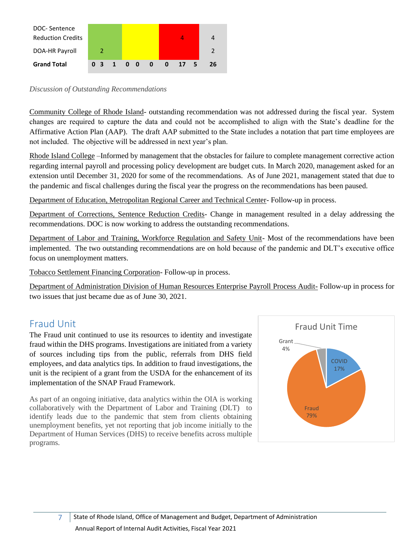

#### *Discussion of Outstanding Recommendations*

Community College of Rhode Island- outstanding recommendation was not addressed during the fiscal year. System changes are required to capture the data and could not be accomplished to align with the State's deadline for the Affirmative Action Plan (AAP). The draft AAP submitted to the State includes a notation that part time employees are not included. The objective will be addressed in next year's plan.

Rhode Island College –Informed by management that the obstacles for failure to complete management corrective action regarding internal payroll and processing policy development are budget cuts. In March 2020, management asked for an extension until December 31, 2020 for some of the recommendations. As of June 2021, management stated that due to the pandemic and fiscal challenges during the fiscal year the progress on the recommendations has been paused.

Department of Education, Metropolitan Regional Career and Technical Center- Follow-up in process.

Department of Corrections, Sentence Reduction Credits- Change in management resulted in a delay addressing the recommendations. DOC is now working to address the outstanding recommendations.

Department of Labor and Training, Workforce Regulation and Safety Unit- Most of the recommendations have been implemented. The two outstanding recommendations are on hold because of the pandemic and DLT's executive office focus on unemployment matters.

Tobacco Settlement Financing Corporation- Follow-up in process.

Department of Administration Division of Human Resources Enterprise Payroll Process Audit- Follow-up in process for two issues that just became due as of June 30, 2021.

# <span id="page-7-0"></span>Fraud Unit

The Fraud unit continued to use its resources to identity and investigate fraud within the DHS programs. Investigations are initiated from a variety of sources including tips from the public, referrals from DHS field employees, and data analytics tips. In addition to fraud investigations, the unit is the recipient of a grant from the USDA for the enhancement of its implementation of the SNAP Fraud Framework.

<span id="page-7-1"></span>As part of an ongoing initiative, data analytics within the OIA is working collaboratively with the Department of Labor and Training (DLT) to identify leads due to the pandemic that stem from clients obtaining unemployment benefits, yet not reporting that job income initially to the Department of Human Services (DHS) to receive benefits across multiple programs.

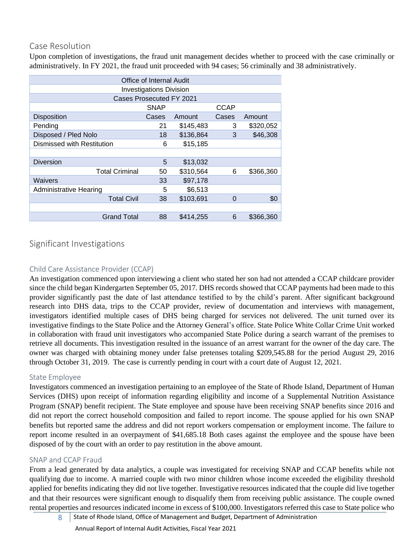## Case Resolution

Upon completion of investigations, the fraud unit management decides whether to proceed with the case criminally or administratively. In FY 2021, the fraud unit proceeded with 94 cases; 56 criminally and 38 administratively.

| Office of Internal Audit       |             |           |             |           |  |  |  |
|--------------------------------|-------------|-----------|-------------|-----------|--|--|--|
| <b>Investigations Division</b> |             |           |             |           |  |  |  |
| Cases Prosecuted FY 2021       |             |           |             |           |  |  |  |
|                                | <b>SNAP</b> |           | <b>CCAP</b> |           |  |  |  |
| <b>Disposition</b>             | Cases       | Amount    | Cases       | Amount    |  |  |  |
| Pending                        | 21          | \$145,483 | 3           | \$320,052 |  |  |  |
| Disposed / Pled Nolo           | 18          | \$136,864 | 3           | \$46,308  |  |  |  |
| Dismissed with Restitution     | 6           | \$15,185  |             |           |  |  |  |
|                                |             |           |             |           |  |  |  |
| <b>Diversion</b>               | 5           | \$13,032  |             |           |  |  |  |
| <b>Total Criminal</b>          | 50          | \$310,564 | 6           | \$366,360 |  |  |  |
| Waivers                        | 33          | \$97,178  |             |           |  |  |  |
| <b>Administrative Hearing</b>  | 5           | \$6,513   |             |           |  |  |  |
| <b>Total Civil</b>             | 38          | \$103,691 | $\Omega$    | \$0       |  |  |  |
|                                |             |           |             |           |  |  |  |
| <b>Grand Total</b>             | 88          | \$414,255 | 6           | \$366,360 |  |  |  |
|                                |             |           |             |           |  |  |  |

## <span id="page-8-0"></span>Significant Investigations

## Child Care Assistance Provider (CCAP)

An investigation commenced upon interviewing a client who stated her son had not attended a CCAP childcare provider since the child began Kindergarten September 05, 2017. DHS records showed that CCAP payments had been made to this provider significantly past the date of last attendance testified to by the child's parent. After significant background research into DHS data, trips to the CCAP provider, review of documentation and interviews with management, investigators identified multiple cases of DHS being charged for services not delivered. The unit turned over its investigative findings to the State Police and the Attorney General's office. State Police White Collar Crime Unit worked in collaboration with fraud unit investigators who accompanied State Police during a search warrant of the premises to retrieve all documents. This investigation resulted in the issuance of an arrest warrant for the owner of the day care. The owner was charged with obtaining money under false pretenses totaling \$209,545.88 for the period August 29, 2016 through October 31, 2019. The case is currently pending in court with a court date of August 12, 2021.

## State Employee

Investigators commenced an investigation pertaining to an employee of the State of Rhode Island, Department of Human Services (DHS) upon receipt of information regarding eligibility and income of a Supplemental Nutrition Assistance Program (SNAP) benefit recipient. The State employee and spouse have been receiving SNAP benefits since 2016 and did not report the correct household composition and failed to report income. The spouse applied for his own SNAP benefits but reported same the address and did not report workers compensation or employment income. The failure to report income resulted in an overpayment of \$41,685.18 Both cases against the employee and the spouse have been disposed of by the court with an order to pay restitution in the above amount.

## SNAP and CCAP Fraud

From a lead generated by data analytics, a couple was investigated for receiving SNAP and CCAP benefits while not qualifying due to income. A married couple with two minor children whose income exceeded the eligibility threshold applied for benefits indicating they did not live together. Investigative resources indicated that the couple did live together and that their resources were significant enough to disqualify them from receiving public assistance. The couple owned rental properties and resources indicated income in excess of \$100,000. Investigators referred this case to State police who

8 State of Rhode Island, Office of Management and Budget, Department of Administration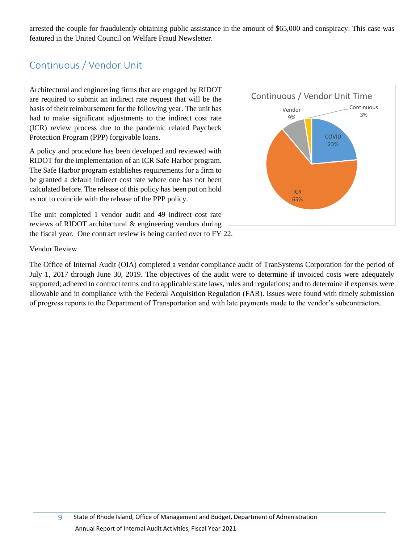arrested the couple for fraudulently obtaining public assistance in the amount of \$65,000 and conspiracy. This case was featured in the United Council on Welfare Fraud Newsletter.

# <span id="page-9-0"></span>Continuous / Vendor Unit

Architectural and engineering firms that are engaged by RIDOT are required to submit an indirect rate request that will be the basis of their reimbursement for the following year. The unit has had to make significant adjustments to the indirect cost rate (ICR) review process due to the pandemic related Paycheck Protection Program (PPP) forgivable loans.

A policy and procedure has been developed and reviewed with RIDOT for the implementation of an ICR Safe Harbor program. The Safe Harbor program establishes requirements for a firm to be granted a default indirect cost rate where one has not been calculated before. The release of this policy has been put on hold as not to coincide with the release of the PPP policy.

The unit completed 1 vendor audit and 49 indirect cost rate reviews of RIDOT architectural & engineering vendors during the fiscal year. One contract review is being carried over to FY 22.



### Vendor Review

The Office of Internal Audit (OIA) completed a vendor compliance audit of TranSystems Corporation for the period of July 1, 2017 through June 30, 2019. The objectives of the audit were to determine if invoiced costs were adequately supported; adhered to contract terms and to applicable state laws, rules and regulations; and to determine if expenses were allowable and in compliance with the Federal Acquisition Regulation (FAR). Issues were found with timely submission of progress reports to the Department of Transportation and with late payments made to the vendor's subcontractors.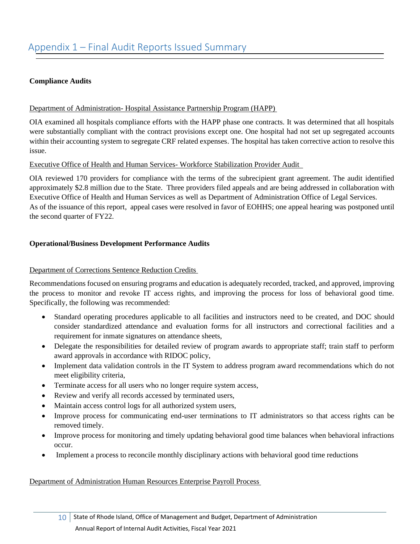## <span id="page-10-0"></span>**Compliance Audits**

## Department of Administration- Hospital Assistance Partnership Program (HAPP)

OIA examined all hospitals compliance efforts with the HAPP phase one contracts. It was determined that all hospitals were substantially compliant with the contract provisions except one. One hospital had not set up segregated accounts within their accounting system to segregate CRF related expenses. The hospital has taken corrective action to resolve this issue.

#### Executive Office of Health and Human Services- Workforce Stabilization Provider Audit

OIA reviewed 170 providers for compliance with the terms of the subrecipient grant agreement. The audit identified approximately \$2.8 million due to the State. Three providers filed appeals and are being addressed in collaboration with Executive Office of Health and Human Services as well as Department of Administration Office of Legal Services. As of the issuance of this report, appeal cases were resolved in favor of EOHHS; one appeal hearing was postponed until the second quarter of FY22.

### **Operational/Business Development Performance Audits**

### Department of Corrections Sentence Reduction Credits

Recommendations focused on ensuring programs and education is adequately recorded, tracked, and approved, improving the process to monitor and revoke IT access rights, and improving the process for loss of behavioral good time. Specifically, the following was recommended:

- Standard operating procedures applicable to all facilities and instructors need to be created, and DOC should consider standardized attendance and evaluation forms for all instructors and correctional facilities and a requirement for inmate signatures on attendance sheets,
- Delegate the responsibilities for detailed review of program awards to appropriate staff; train staff to perform award approvals in accordance with RIDOC policy,
- Implement data validation controls in the IT System to address program award recommendations which do not meet eligibility criteria,
- Terminate access for all users who no longer require system access,
- Review and verify all records accessed by terminated users,
- Maintain access control logs for all authorized system users,
- Improve process for communicating end-user terminations to IT administrators so that access rights can be removed timely.
- Improve process for monitoring and timely updating behavioral good time balances when behavioral infractions occur.
- Implement a process to reconcile monthly disciplinary actions with behavioral good time reductions

#### Department of Administration Human Resources Enterprise Payroll Process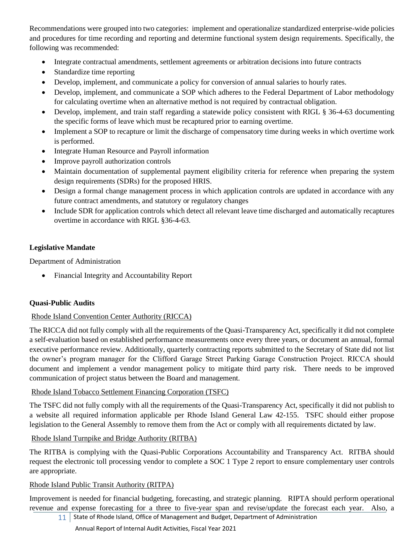Recommendations were grouped into two categories: implement and operationalize standardized enterprise-wide policies and procedures for time recording and reporting and determine functional system design requirements. Specifically, the following was recommended:

- Integrate contractual amendments, settlement agreements or arbitration decisions into future contracts
- Standardize time reporting
- Develop, implement, and communicate a policy for conversion of annual salaries to hourly rates.
- Develop, implement, and communicate a SOP which adheres to the Federal Department of Labor methodology for calculating overtime when an alternative method is not required by contractual obligation.
- Develop, implement, and train staff regarding a statewide policy consistent with RIGL § 36-4-63 documenting the specific forms of leave which must be recaptured prior to earning overtime.
- Implement a SOP to recapture or limit the discharge of compensatory time during weeks in which overtime work is performed.
- Integrate Human Resource and Payroll information
- Improve payroll authorization controls
- Maintain documentation of supplemental payment eligibility criteria for reference when preparing the system design requirements (SDRs) for the proposed HRIS.
- Design a formal change management process in which application controls are updated in accordance with any future contract amendments, and statutory or regulatory changes
- Include SDR for application controls which detect all relevant leave time discharged and automatically recaptures overtime in accordance with RIGL §36-4-63.

## **Legislative Mandate**

Department of Administration

• Financial Integrity and Accountability Report

## **Quasi-Public Audits**

## Rhode Island Convention Center Authority (RICCA)

The RICCA did not fully comply with all the requirements of the Quasi-Transparency Act, specifically it did not complete a self-evaluation based on established performance measurements once every three years, or document an annual, formal executive performance review. Additionally, quarterly contracting reports submitted to the Secretary of State did not list the owner's program manager for the Clifford Garage Street Parking Garage Construction Project. RICCA should document and implement a vendor management policy to mitigate third party risk. There needs to be improved communication of project status between the Board and management.

## Rhode Island Tobacco Settlement Financing Corporation (TSFC)

The TSFC did not fully comply with all the requirements of the Quasi-Transparency Act, specifically it did not publish to a website all required information applicable per Rhode Island General Law 42-155. TSFC should either propose legislation to the General Assembly to remove them from the Act or comply with all requirements dictated by law.

## Rhode Island Turnpike and Bridge Authority (RITBA)

The RITBA is complying with the Quasi-Public Corporations Accountability and Transparency Act. RITBA should request the electronic toll processing vendor to complete a SOC 1 Type 2 report to ensure complementary user controls are appropriate.

## Rhode Island Public Transit Authority (RITPA)

Improvement is needed for financial budgeting, forecasting, and strategic planning. RIPTA should perform operational revenue and expense forecasting for a three to five-year span and revise/update the forecast each year. Also, a

11 State of Rhode Island, Office of Management and Budget, Department of Administration